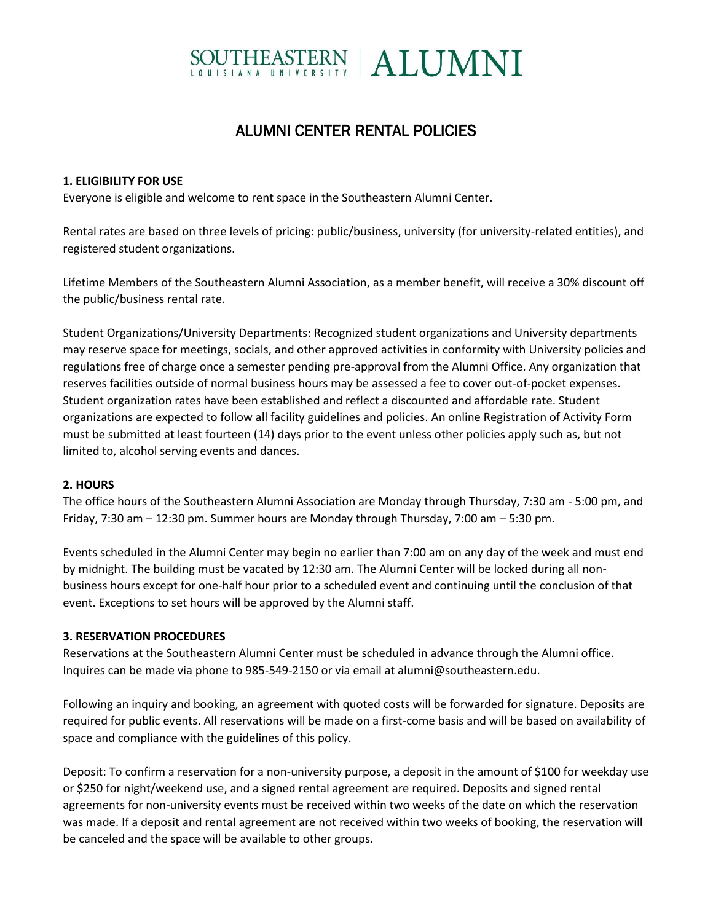# SOUTHEASTERN | ALUMNI

# ALUMNI CENTER RENTAL POLICIES

## **1. ELIGIBILITY FOR USE**

Everyone is eligible and welcome to rent space in the Southeastern Alumni Center.

Rental rates are based on three levels of pricing: public/business, university (for university-related entities), and registered student organizations.

Lifetime Members of the Southeastern Alumni Association, as a member benefit, will receive a 30% discount off the public/business rental rate.

Student Organizations/University Departments: Recognized student organizations and University departments may reserve space for meetings, socials, and other approved activities in conformity with University policies and regulations free of charge once a semester pending pre-approval from the Alumni Office. Any organization that reserves facilities outside of normal business hours may be assessed a fee to cover out-of-pocket expenses. Student organization rates have been established and reflect a discounted and affordable rate. Student organizations are expected to follow all facility guidelines and policies. An online Registration of Activity Form must be submitted at least fourteen (14) days prior to the event unless other policies apply such as, but not limited to, alcohol serving events and dances.

#### **2. HOURS**

The office hours of the Southeastern Alumni Association are Monday through Thursday, 7:30 am - 5:00 pm, and Friday, 7:30 am – 12:30 pm. Summer hours are Monday through Thursday, 7:00 am – 5:30 pm.

Events scheduled in the Alumni Center may begin no earlier than 7:00 am on any day of the week and must end by midnight. The building must be vacated by 12:30 am. The Alumni Center will be locked during all nonbusiness hours except for one-half hour prior to a scheduled event and continuing until the conclusion of that event. Exceptions to set hours will be approved by the Alumni staff.

#### **3. RESERVATION PROCEDURES**

Reservations at the Southeastern Alumni Center must be scheduled in advance through the Alumni office. Inquires can be made via phone to 985-549-2150 or via email at alumni@southeastern.edu.

Following an inquiry and booking, an agreement with quoted costs will be forwarded for signature. Deposits are required for public events. All reservations will be made on a first-come basis and will be based on availability of space and compliance with the guidelines of this policy.

Deposit: To confirm a reservation for a non-university purpose, a deposit in the amount of \$100 for weekday use or \$250 for night/weekend use, and a signed rental agreement are required. Deposits and signed rental agreements for non-university events must be received within two weeks of the date on which the reservation was made. If a deposit and rental agreement are not received within two weeks of booking, the reservation will be canceled and the space will be available to other groups.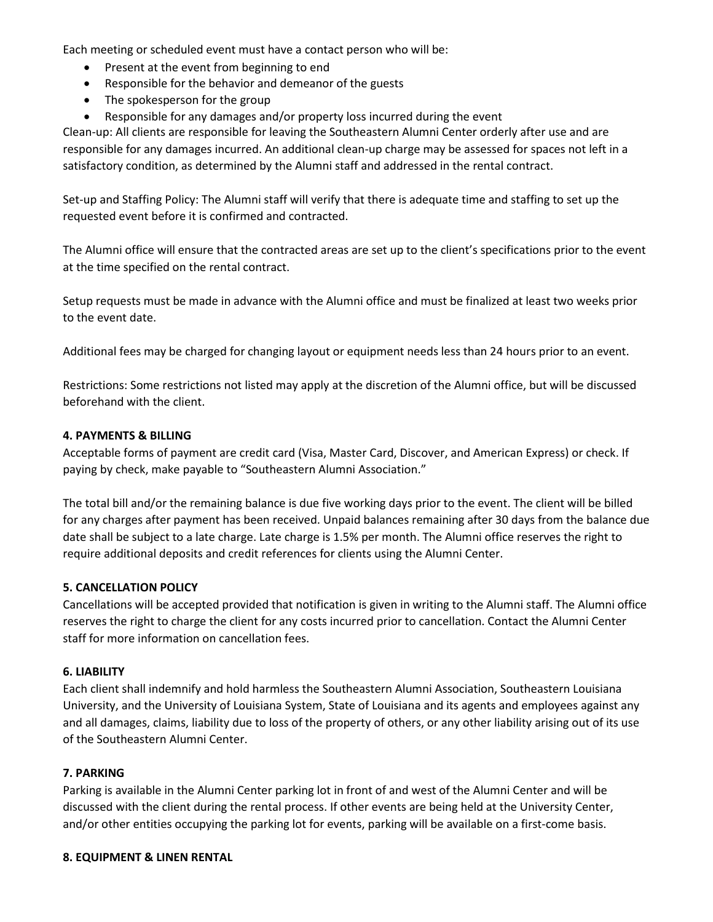Each meeting or scheduled event must have a contact person who will be:

- Present at the event from beginning to end
- Responsible for the behavior and demeanor of the guests
- The spokesperson for the group
- Responsible for any damages and/or property loss incurred during the event

Clean-up: All clients are responsible for leaving the Southeastern Alumni Center orderly after use and are responsible for any damages incurred. An additional clean-up charge may be assessed for spaces not left in a satisfactory condition, as determined by the Alumni staff and addressed in the rental contract.

Set-up and Staffing Policy: The Alumni staff will verify that there is adequate time and staffing to set up the requested event before it is confirmed and contracted.

The Alumni office will ensure that the contracted areas are set up to the client's specifications prior to the event at the time specified on the rental contract.

Setup requests must be made in advance with the Alumni office and must be finalized at least two weeks prior to the event date.

Additional fees may be charged for changing layout or equipment needs less than 24 hours prior to an event.

Restrictions: Some restrictions not listed may apply at the discretion of the Alumni office, but will be discussed beforehand with the client.

# **4. PAYMENTS & BILLING**

Acceptable forms of payment are credit card (Visa, Master Card, Discover, and American Express) or check. If paying by check, make payable to "Southeastern Alumni Association."

The total bill and/or the remaining balance is due five working days prior to the event. The client will be billed for any charges after payment has been received. Unpaid balances remaining after 30 days from the balance due date shall be subject to a late charge. Late charge is 1.5% per month. The Alumni office reserves the right to require additional deposits and credit references for clients using the Alumni Center.

#### **5. CANCELLATION POLICY**

Cancellations will be accepted provided that notification is given in writing to the Alumni staff. The Alumni office reserves the right to charge the client for any costs incurred prior to cancellation. Contact the Alumni Center staff for more information on cancellation fees.

#### **6. LIABILITY**

Each client shall indemnify and hold harmless the Southeastern Alumni Association, Southeastern Louisiana University, and the University of Louisiana System, State of Louisiana and its agents and employees against any and all damages, claims, liability due to loss of the property of others, or any other liability arising out of its use of the Southeastern Alumni Center.

#### **7. PARKING**

Parking is available in the Alumni Center parking lot in front of and west of the Alumni Center and will be discussed with the client during the rental process. If other events are being held at the University Center, and/or other entities occupying the parking lot for events, parking will be available on a first-come basis.

#### **8. EQUIPMENT & LINEN RENTAL**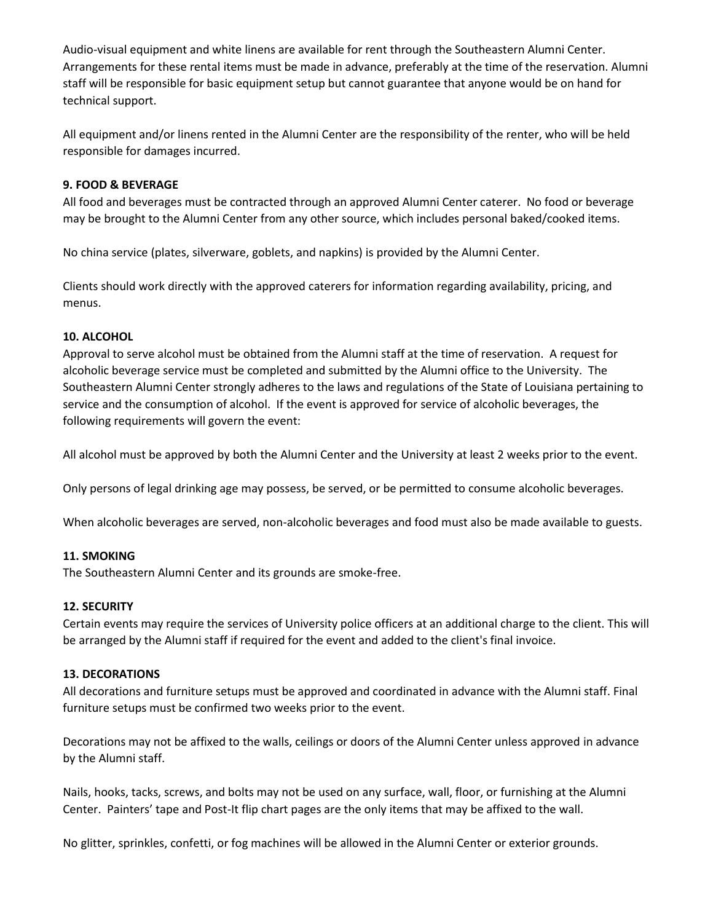Audio-visual equipment and white linens are available for rent through the Southeastern Alumni Center. Arrangements for these rental items must be made in advance, preferably at the time of the reservation. Alumni staff will be responsible for basic equipment setup but cannot guarantee that anyone would be on hand for technical support.

All equipment and/or linens rented in the Alumni Center are the responsibility of the renter, who will be held responsible for damages incurred.

# **9. FOOD & BEVERAGE**

All food and beverages must be contracted through an approved Alumni Center caterer. No food or beverage may be brought to the Alumni Center from any other source, which includes personal baked/cooked items.

No china service (plates, silverware, goblets, and napkins) is provided by the Alumni Center.

Clients should work directly with the approved caterers for information regarding availability, pricing, and menus.

# **10. ALCOHOL**

Approval to serve alcohol must be obtained from the Alumni staff at the time of reservation. A request for alcoholic beverage service must be completed and submitted by the Alumni office to the University. The Southeastern Alumni Center strongly adheres to the laws and regulations of the State of Louisiana pertaining to service and the consumption of alcohol. If the event is approved for service of alcoholic beverages, the following requirements will govern the event:

All alcohol must be approved by both the Alumni Center and the University at least 2 weeks prior to the event.

Only persons of legal drinking age may possess, be served, or be permitted to consume alcoholic beverages.

When alcoholic beverages are served, non-alcoholic beverages and food must also be made available to guests.

#### **11. SMOKING**

The Southeastern Alumni Center and its grounds are smoke-free.

#### **12. SECURITY**

Certain events may require the services of University police officers at an additional charge to the client. This will be arranged by the Alumni staff if required for the event and added to the client's final invoice.

#### **13. DECORATIONS**

All decorations and furniture setups must be approved and coordinated in advance with the Alumni staff. Final furniture setups must be confirmed two weeks prior to the event.

Decorations may not be affixed to the walls, ceilings or doors of the Alumni Center unless approved in advance by the Alumni staff.

Nails, hooks, tacks, screws, and bolts may not be used on any surface, wall, floor, or furnishing at the Alumni Center. Painters' tape and Post-It flip chart pages are the only items that may be affixed to the wall.

No glitter, sprinkles, confetti, or fog machines will be allowed in the Alumni Center or exterior grounds.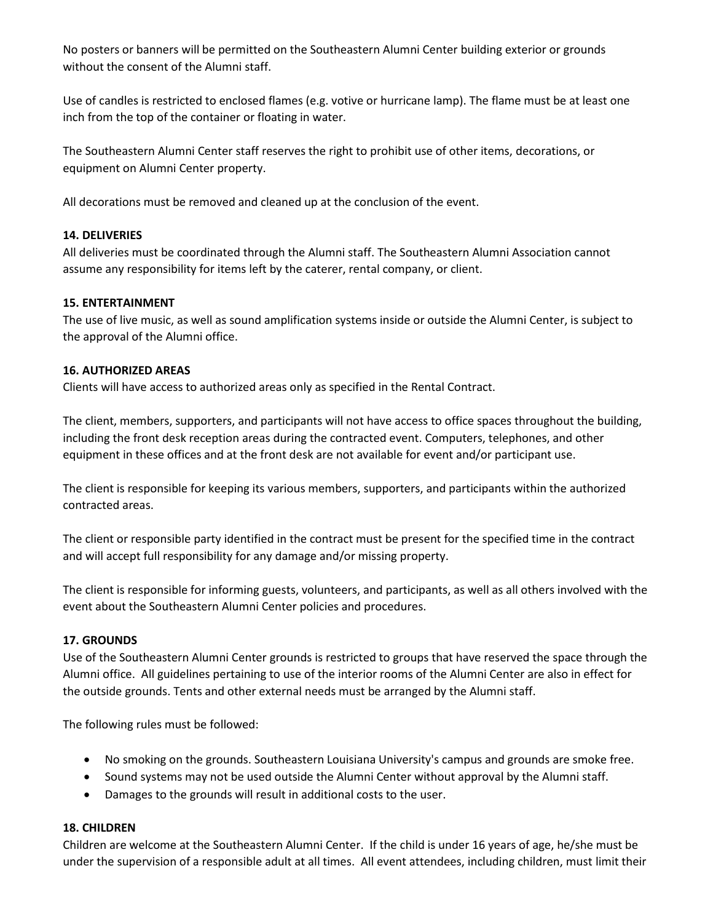No posters or banners will be permitted on the Southeastern Alumni Center building exterior or grounds without the consent of the Alumni staff.

Use of candles is restricted to enclosed flames (e.g. votive or hurricane lamp). The flame must be at least one inch from the top of the container or floating in water.

The Southeastern Alumni Center staff reserves the right to prohibit use of other items, decorations, or equipment on Alumni Center property.

All decorations must be removed and cleaned up at the conclusion of the event.

# **14. DELIVERIES**

All deliveries must be coordinated through the Alumni staff. The Southeastern Alumni Association cannot assume any responsibility for items left by the caterer, rental company, or client.

# **15. ENTERTAINMENT**

The use of live music, as well as sound amplification systems inside or outside the Alumni Center, is subject to the approval of the Alumni office.

# **16. AUTHORIZED AREAS**

Clients will have access to authorized areas only as specified in the Rental Contract.

The client, members, supporters, and participants will not have access to office spaces throughout the building, including the front desk reception areas during the contracted event. Computers, telephones, and other equipment in these offices and at the front desk are not available for event and/or participant use.

The client is responsible for keeping its various members, supporters, and participants within the authorized contracted areas.

The client or responsible party identified in the contract must be present for the specified time in the contract and will accept full responsibility for any damage and/or missing property.

The client is responsible for informing guests, volunteers, and participants, as well as all others involved with the event about the Southeastern Alumni Center policies and procedures.

# **17. GROUNDS**

Use of the Southeastern Alumni Center grounds is restricted to groups that have reserved the space through the Alumni office. All guidelines pertaining to use of the interior rooms of the Alumni Center are also in effect for the outside grounds. Tents and other external needs must be arranged by the Alumni staff.

The following rules must be followed:

- No smoking on the grounds. Southeastern Louisiana University's campus and grounds are smoke free.
- Sound systems may not be used outside the Alumni Center without approval by the Alumni staff.
- Damages to the grounds will result in additional costs to the user.

#### **18. CHILDREN**

Children are welcome at the Southeastern Alumni Center. If the child is under 16 years of age, he/she must be under the supervision of a responsible adult at all times. All event attendees, including children, must limit their